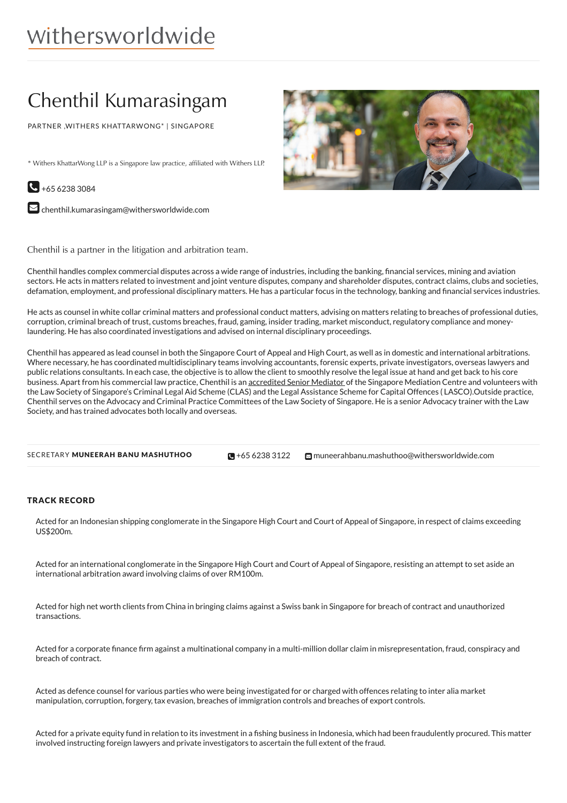# withersworldwide

## Chenthil Kumarasingam

PARTNER ,WITHERS KHATTARWONG\* | SINGAPORE

\* Withers KhattarWong LLP is a Singapore law practice, affiliated with Withers LLP.



 $\blacktriangleright$  [chenthil.kumarasingam@withersworldwide.com](mailto:chenthil.kumarasingam@withersworldwide.com?subject=Website Enquiry - Profile Page)



Chenthil is a partner in the litigation and arbitration team.

Chenthil handles complex commercial disputes across a wide range of industries, including the banking, financial services, mining and aviation sectors. He acts in matters related to investment and joint venture disputes, company and shareholder disputes, contract claims, clubs and societies, defamation, employment, and professional disciplinary matters. He has a particular focus in the technology, banking and (nancial services industries.

He acts as counsel in white collar criminal matters and professional conduct matters, advising on matters relating to breaches of professional duties, corruption, criminal breach of trust, customs breaches, fraud, gaming, insider trading, market misconduct, regulatory compliance and moneylaundering. He has also coordinated investigations and advised on internal disciplinary proceedings.

Chenthil has appeared as lead counsel in both the Singapore Court of Appeal and High Court, as well as in domestic and international arbitrations. Where necessary, he has coordinated multidisciplinary teams involving accountants, forensic experts, private investigators, overseas lawyers and public relations consultants. In each case, the objective is to allow the client to smoothly resolve the legal issue at hand and get back to his core business. Apart from his commercial law practice, Chenthil is an [accredited](https://www.withersworldwide.com/en-gb/mediation_1) Senior Mediator of the Singapore Mediation Centre and volunteers with the Law Society of Singapore's Criminal Legal Aid Scheme (CLAS) and the Legal Assistance Scheme for Capital Offences ( LASCO).Outside practice, Chenthil serves on the Advocacy and Criminal Practice Committees of the Law Society of Singapore. He is a senior Advocacy trainer with the Law Society, and has trained advocates both locally and overseas.

| SECRETARY MUNEERAH BANU MASHUTHOO | $\Box + 6562383122$ | $\blacksquare$ muneeral |
|-----------------------------------|---------------------|-------------------------|
|                                   |                     |                         |

hbanu.mashuthoo@withersworldwide.com

#### TRACK RECORD

Acted for an Indonesian shipping conglomerate in the Singapore High Court and Court of Appeal of Singapore, in respect of claims exceeding  $IIS$200m$ 

Acted for an international conglomerate in the Singapore High Court and Court of Appeal of Singapore, resisting an attempt to set aside an international arbitration award involving claims of over RM100m.

Acted for high net worth clients from China in bringing claims against a Swiss bank in Singapore for breach of contract and unauthorized transactions.

Acted for a corporate finance firm against a multinational company in a multi-million dollar claim in misrepresentation, fraud, conspiracy and breach of contract.

Acted as defence counsel for various parties who were being investigated for or charged with offences relating to inter alia market manipulation, corruption, forgery, tax evasion, breaches of immigration controls and breaches of export controls.

Acted for a private equity fund in relation to its investment in a fishing business in Indonesia, which had been fraudulently procured. This matter involved instructing foreign lawyers and private investigators to ascertain the full extent of the fraud.